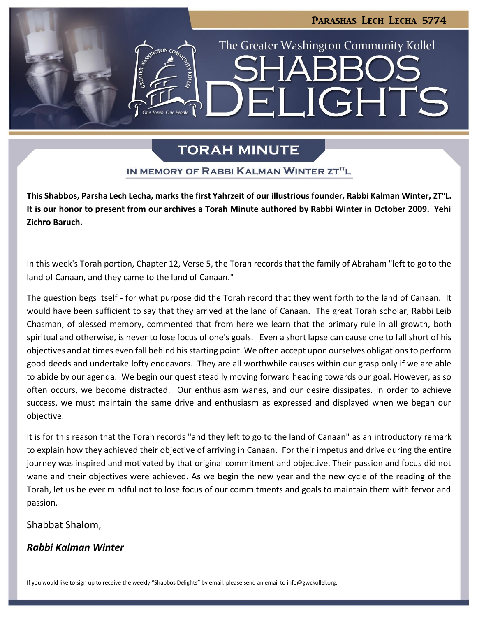# The Greater Washington Community Kollel **LIGHTS**  $\blacksquare$

PARASHAS LECH LECHA 5774

### **TORAH MINUTE**

### IN MEMORY OF RABBI KALMAN WINTER ZT"L

**This Shabbos, Parsha Lech Lecha, marks the first Yahrzeit of our illustrious founder, Rabbi Kalman Winter, ZT"L. It is our honor to present from our archives a Torah Minute authored by Rabbi Winter in October 2009. Yehi Zichro Baruch.**

In this week's Torah portion, Chapter 12, Verse 5, the Torah records that the family of Abraham "left to go to the land of Canaan, and they came to the land of Canaan."

The question begs itself - for what purpose did the Torah record that they went forth to the land of Canaan. It would have been sufficient to say that they arrived at the land of Canaan. The great Torah scholar, Rabbi Leib Chasman, of blessed memory, commented that from here we learn that the primary rule in all growth, both spiritual and otherwise, is never to lose focus of one's goals. Even a short lapse can cause one to fall short of his objectives and at times even fall behind his starting point. We often accept upon ourselves obligations to perform good deeds and undertake lofty endeavors. They are all worthwhile causes within our grasp only if we are able to abide by our agenda. We begin our quest steadily moving forward heading towards our goal. However, as so often occurs, we become distracted. Our enthusiasm wanes, and our desire dissipates. In order to achieve success, we must maintain the same drive and enthusiasm as expressed and displayed when we began our objective.

It is for this reason that the Torah records "and they left to go to the land of Canaan" as an introductory remark to explain how they achieved their objective of arriving in Canaan. For their impetus and drive during the entire journey was inspired and motivated by that original commitment and objective. Their passion and focus did not wane and their objectives were achieved. As we begin the new year and the new cycle of the reading of the Torah, let us be ever mindful not to lose focus of our commitments and goals to maintain them with fervor and passion.

### Shabbat Shalom,

### *Rabbi Kalman Winter*

If you would like to sign up to receive the weekly "Shabbos Delights" by email, please send an email t[o info@gwckollel.org](mailto:info@gwckollel.org).